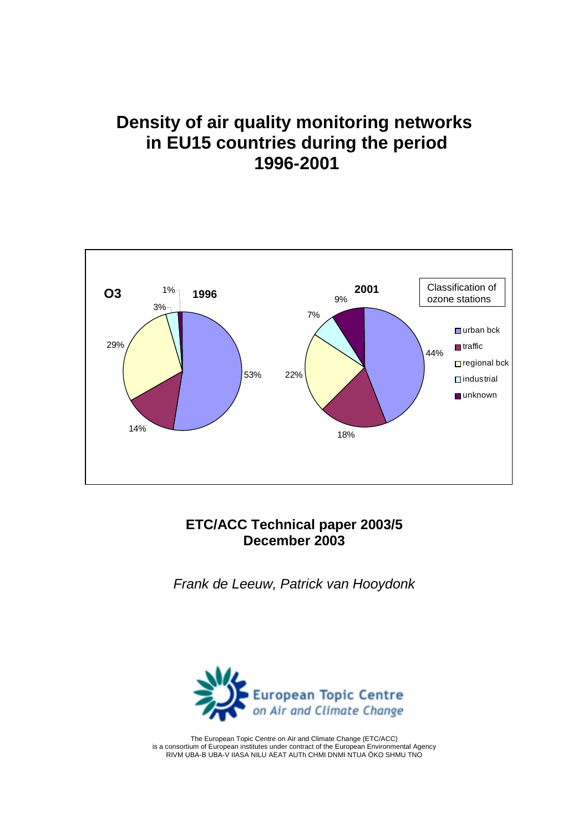# **Density of air quality monitoring networks in EU15 countries during the period 1996-2001**



#### **ETC/ACC Technical paper 2003/5 December 2003**

*Frank de Leeuw, Patrick van Hooydonk*



The European Topic Centre on Air and Climate Change (ETC/ACC) is a consortium of European institutes under contract of the European Environmental Agency RIVM UBA-B UBA-V IIASA NILU AEAT AUTh CHMI DNMI NTUA ÖKO SHMU TNO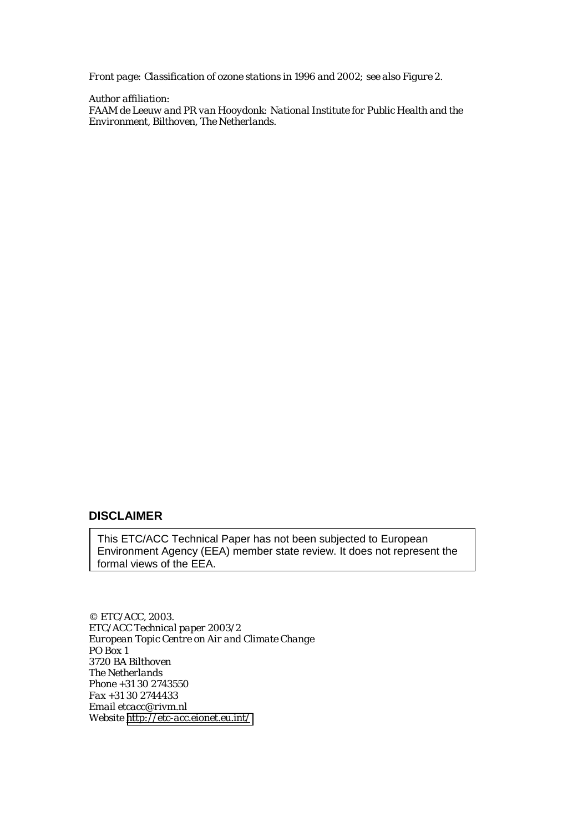*Front page: Classification of ozone stations in 1996 and 2002; see also Figure 2.*

*Author affiliation: FAAM de Leeuw and PR van Hooydonk: National Institute for Public Health and the Environment, Bilthoven, The Netherlands.*

#### **DISCLAIMER**

This ETC/ACC Technical Paper has not been subjected to European Environment Agency (EEA) member state review. It does not represent the formal views of the EEA.

*© ETC/ACC, 2003. ETC/ACC Technical paper 2003/2 European Topic Centre on Air and Climate Change PO Box 1 3720 BA Bilthoven The Netherlands Phone +31 30 2743550 Fax +31 30 2744433 Email etcacc@rivm.nl Website <http://etc-acc.eionet.eu.int/>*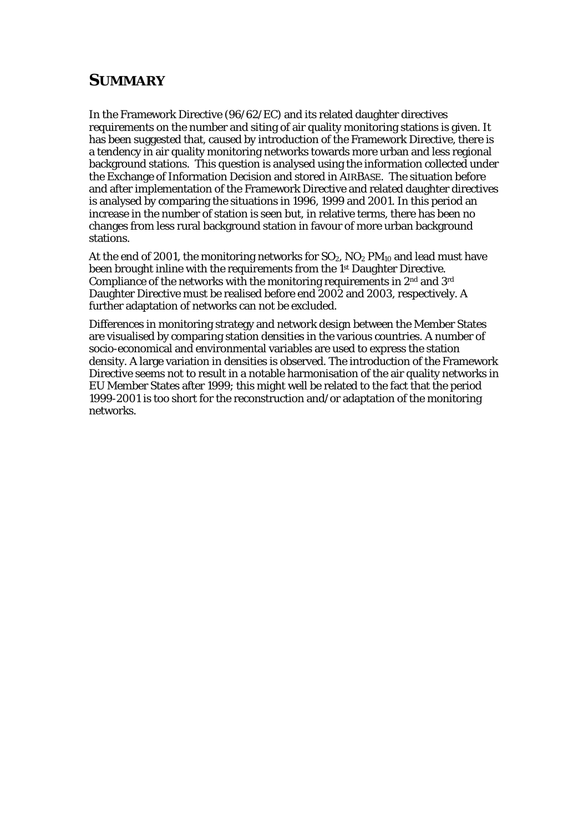#### **SUMMARY**

In the Framework Directive (96/62/EC) and its related daughter directives requirements on the number and siting of air quality monitoring stations is given. It has been suggested that, caused by introduction of the Framework Directive, there is a tendency in air quality monitoring networks towards more urban and less regional background stations. This question is analysed using the information collected under the Exchange of Information Decision and stored in AIRBASE. The situation before and after implementation of the Framework Directive and related daughter directives is analysed by comparing the situations in 1996, 1999 and 2001. In this period an increase in the number of station is seen but, in relative terms, there has been no changes from less rural background station in favour of more urban background stations.

At the end of 2001, the monitoring networks for  $SO_2$ ,  $NO_2$   $PM_{10}$  and lead must have been brought inline with the requirements from the 1st Daughter Directive. Compliance of the networks with the monitoring requirements in 2nd and 3rd Daughter Directive must be realised before end 2002 and 2003, respectively. A further adaptation of networks can not be excluded.

Differences in monitoring strategy and network design between the Member States are visualised by comparing station densities in the various countries. A number of socio-economical and environmental variables are used to express the station density. A large variation in densities is observed. The introduction of the Framework Directive seems not to result in a notable harmonisation of the air quality networks in EU Member States after 1999; this might well be related to the fact that the period 1999-2001 is too short for the reconstruction and/or adaptation of the monitoring networks.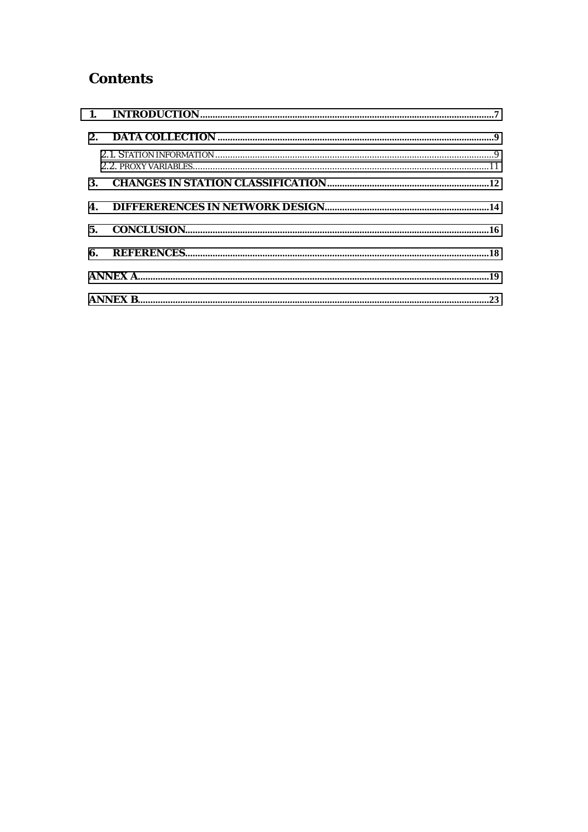### **Contents**

| 5. |  |
|----|--|
|    |  |
|    |  |
|    |  |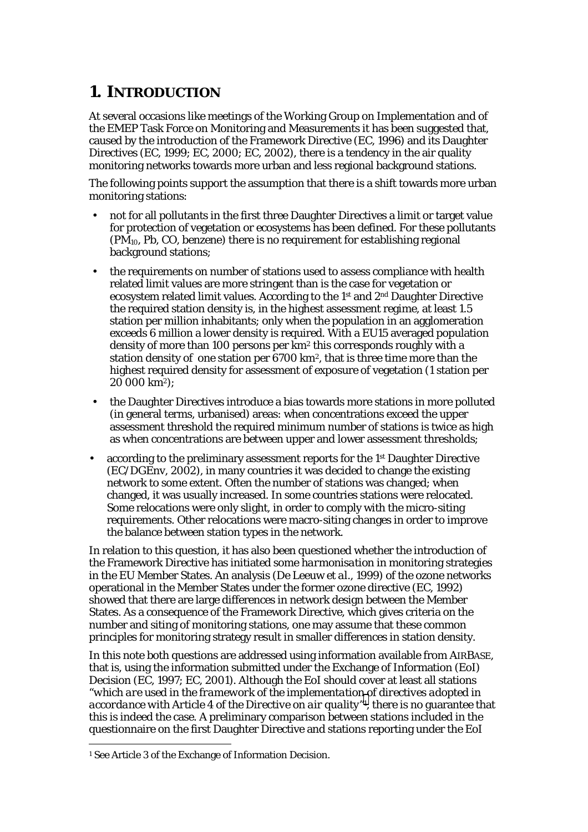## <span id="page-5-0"></span>**1. INTRODUCTION**

At several occasions like meetings of the Working Group on Implementation and of the EMEP Task Force on Monitoring and Measurements it has been suggested that, caused by the introduction of the Framework Directive (EC, 1996) and its Daughter Directives (EC, 1999; EC, 2000; EC, 2002), there is a tendency in the air quality monitoring networks towards more urban and less regional background stations.

The following points support the assumption that there is a shift towards more urban monitoring stations:

- not for all pollutants in the first three Daughter Directives a limit or target value for protection of vegetation or ecosystems has been defined. For these pollutants  $(PM_{10}, Ph, CO, benzene)$  there is no requirement for establishing regional background stations;
- the requirements on number of stations used to assess compliance with health related limit values are more stringent than is the case for vegetation or ecosystem related limit values. According to the 1st and 2nd Daughter Directive the required station density is, in the highest assessment regime, at least 1.5 station per million inhabitants; only when the population in an agglomeration exceeds 6 million a lower density is required. With a EU15 averaged population density of more than 100 persons per km2 this corresponds roughly with a station density of one station per 6700 km2, that is three time more than the highest required density for assessment of exposure of vegetation (1 station per 20 000 km2);
- the Daughter Directives introduce a bias towards more stations in more polluted (in general terms, urbanised) areas: when concentrations exceed the upper assessment threshold the required minimum number of stations is twice as high as when concentrations are between upper and lower assessment thresholds;
- according to the preliminary assessment reports for the 1<sup>st</sup> Daughter Directive (EC/DGEnv, 2002), in many countries it was decided to change the existing network to some extent. Often the number of stations was changed; when changed, it was usually increased. In some countries stations were relocated. Some relocations were only slight, in order to comply with the micro-siting requirements. Other relocations were macro-siting changes in order to improve the balance between station types in the network.

In relation to this question, it has also been questioned whether the introduction of the Framework Directive has initiated some *harmonisation* in monitoring strategies in the EU Member States. An analysis (De Leeuw *et al.,* 1999) of the ozone networks operational in the Member States under the former ozone directive (EC, 1992) showed that there are large differences in network design between the Member States. As a consequence of the Framework Directive, which gives criteria on the number and siting of monitoring stations, one may assume that these common principles for monitoring strategy result in smaller differences in station density.

In this note both questions are addressed using information available from AIRBASE, that is, using the information submitted under the Exchange of Information (EoI) Decision (EC, 1997; EC, 2001). Although the EoI should cover at least all stations "*which are used in the framework of the implementation of directives adopted in accordance with Article 4 of the Directive on air quality"*, there is no guarantee that this is indeed the case. A preliminary comparison between stations included in the questionnaire on the first Daughter Directive and stations reporting under the EoI

 $\overline{a}$ 

<sup>1</sup> See Article 3 of the Exchange of Information Decision.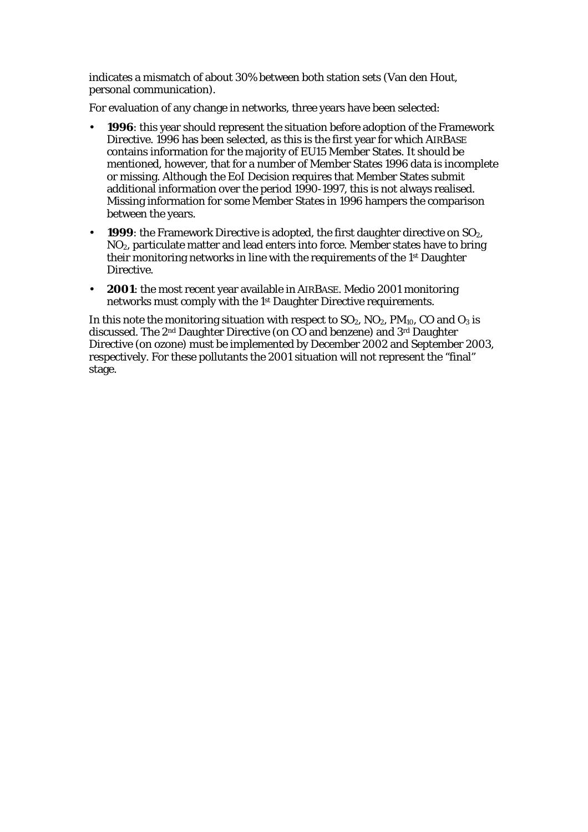indicates a mismatch of about 30% between both station sets (Van den Hout, personal communication).

For evaluation of any change in networks, three years have been selected:

- **1996**: this year should represent the situation before adoption of the Framework Directive. 1996 has been selected, as this is the first year for which AIRBASE contains information for the majority of EU15 Member States. It should be mentioned, however, that for a number of Member States 1996 data is incomplete or missing. Although the EoI Decision requires that Member States submit additional information over the period 1990-1997, this is not always realised. Missing information for some Member States in 1996 hampers the comparison between the years.
- **1999**: the Framework Directive is adopted, the first daughter directive on SO<sub>2</sub>. NO2, particulate matter and lead enters into force. Member states have to bring their monitoring networks in line with the requirements of the 1st Daughter Directive.
- **2001**: the most recent year available in AIRBASE. Medio 2001 monitoring networks must comply with the 1st Daughter Directive requirements.

In this note the monitoring situation with respect to  $SO_2$ ,  $NO_2$ ,  $PM_{10}$ ,  $CO$  and  $O_3$  is discussed. The 2nd Daughter Directive (on CO and benzene) and 3rd Daughter Directive (on ozone) must be implemented by December 2002 and September 2003, respectively. For these pollutants the 2001 situation will not represent the "final" stage.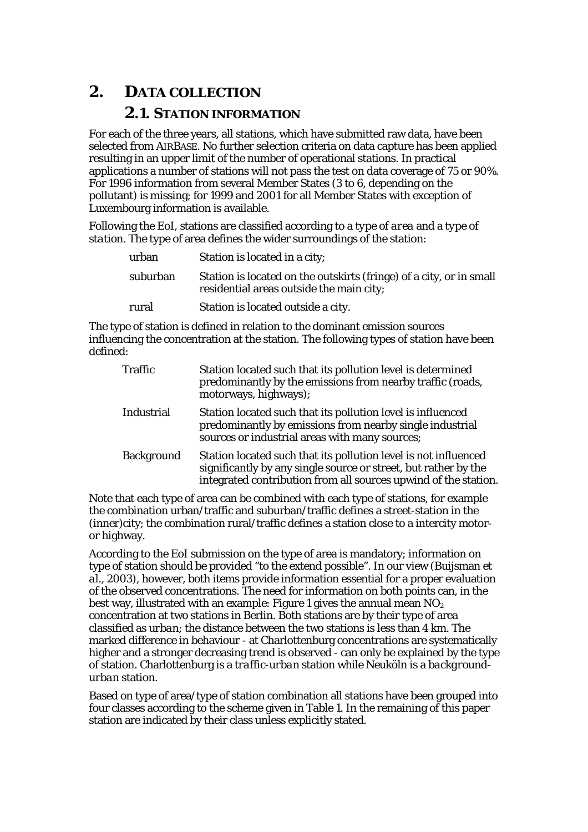## <span id="page-7-0"></span>**2. DATA COLLECTION**

#### **2.1. STATION INFORMATION**

For each of the three years, all stations, which have submitted raw data, have been selected from AIRBASE. No further selection criteria on data capture has been applied resulting in an upper limit of the number of operational stations. In practical applications a number of stations will not pass the test on data coverage of 75 or 90%. For 1996 information from several Member States (3 to 6, depending on the pollutant) is missing; for 1999 and 2001 for all Member States with exception of Luxembourg information is available.

Following the EoI, stations are classified according to a *type of area* and a *type of station.* The type of area defines the wider surroundings of the station:

| urban    | Station is located in a city;                                                                                   |
|----------|-----------------------------------------------------------------------------------------------------------------|
| suburban | Station is located on the outskirts (fringe) of a city, or in small<br>residential areas outside the main city; |
| rural    | Station is located outside a city.                                                                              |

The type of station is defined in relation to the dominant emission sources influencing the concentration at the station. The following types of station have been defined:

| Traffic    | Station located such that its pollution level is determined<br>predominantly by the emissions from nearby traffic (roads,<br>motorways, highways);                                                    |
|------------|-------------------------------------------------------------------------------------------------------------------------------------------------------------------------------------------------------|
| Industrial | Station located such that its pollution level is influenced<br>predominantly by emissions from nearby single industrial<br>sources or industrial areas with many sources;                             |
| Background | Station located such that its pollution level is not influenced<br>significantly by any single source or street, but rather by the<br>integrated contribution from all sources upwind of the station. |

Note that each type of area can be combined with each type of stations, for example the combination urban/traffic and suburban/traffic defines a street-station in the (inner)city; the combination rural/traffic defines a station close to a intercity motoror highway.

According to the EoI submission on the type of area is mandatory; information on type of station should be provided "to the extend possible". In our view (Buijsman *et al*., 2003*)*, however, both items provide information essential for a proper evaluation of the observed concentrations. The need for information on both points can, in the best way, illustrated with an example: Figure 1 gives the annual mean  $NO<sub>2</sub>$ concentration at two stations in Berlin. Both stations are by their type of area classified as *urban*; the distance between the two stations is less than 4 km. The marked difference in behaviour - at Charlottenburg concentrations are systematically higher and a stronger decreasing trend is observed - can only be explained by the type of station. Charlottenburg is a *traffic-urban* station while Neuköln is a *backgroundurban* station.

Based on type of area/type of station combination all stations have been grouped into four classes according to the scheme given in Table 1. In the remaining of this paper station are indicated by their class unless explicitly stated.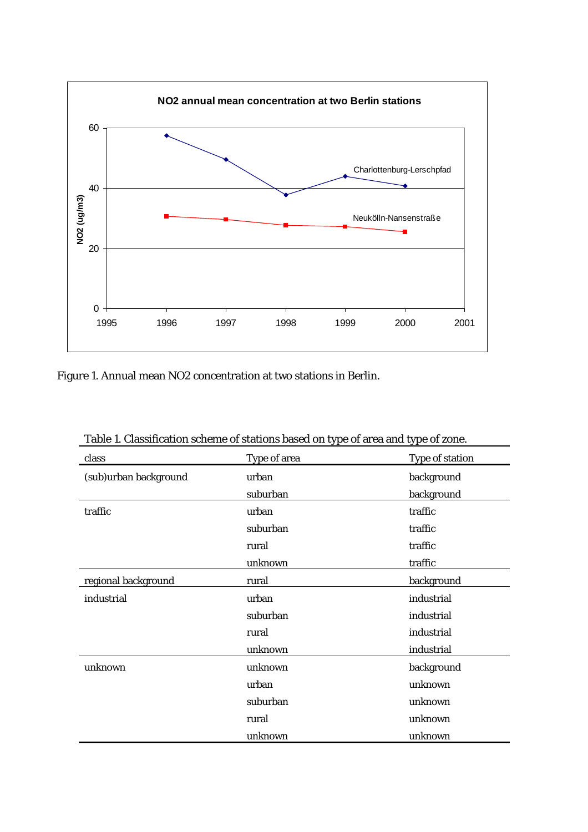

Figure 1. Annual mean NO2 concentration at two stations in Berlin.

| class                 | Type of area | Type of station |
|-----------------------|--------------|-----------------|
| (sub)urban background | urban        | background      |
|                       | suburban     | background      |
| traffic               | urban        | traffic         |
|                       | suburban     | traffic         |
|                       | rural        | traffic         |
|                       | unknown      | traffic         |
| regional background   | rural        | background      |
| industrial            | urban        | industrial      |
|                       | suburban     | industrial      |
|                       | rural        | industrial      |
|                       | unknown      | industrial      |
| unknown               | unknown      | background      |
|                       | urban        | unknown         |
|                       | suburban     | unknown         |
|                       | rural        | unknown         |
|                       | unknown      | unknown         |

Table 1. Classification scheme of stations based on type of area and type of zone.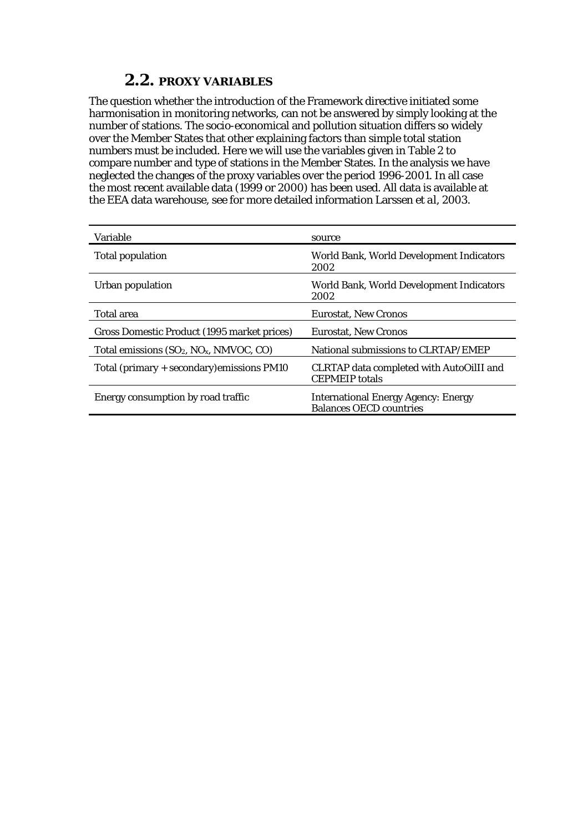### **2.2. PROXY VARIABLES**

<span id="page-9-0"></span>The question whether the introduction of the Framework directive initiated some harmonisation in monitoring networks, can not be answered by simply looking at the number of stations. The socio-economical and pollution situation differs so widely over the Member States that other explaining factors than simple total station numbers must be included. Here we will use the variables given in Table 2 to compare number and type of stations in the Member States. In the analysis we have neglected the changes of the proxy variables over the period 1996-2001. In all case the most recent available data (1999 or 2000) has been used. All data is available at the EEA data warehouse, see for more detailed information Larssen *et al*, 2003.

| Variable                                    | source                                                                       |
|---------------------------------------------|------------------------------------------------------------------------------|
| Total population                            | World Bank, World Development Indicators<br>2002                             |
| Urban population                            | World Bank, World Development Indicators<br>2002                             |
| Total area                                  | <b>Eurostat, New Cronos</b>                                                  |
| Gross Domestic Product (1995 market prices) | <b>Eurostat, New Cronos</b>                                                  |
| Total emissions $(SO_2, NO_x, NMVOC, CO)$   | National submissions to CLRTAP/EMEP                                          |
| Total (primary + secondary) emissions PM10  | CLRTAP data completed with AutoOilII and<br><b>CEPMEIP</b> totals            |
| Energy consumption by road traffic          | <b>International Energy Agency: Energy</b><br><b>Balances OECD countries</b> |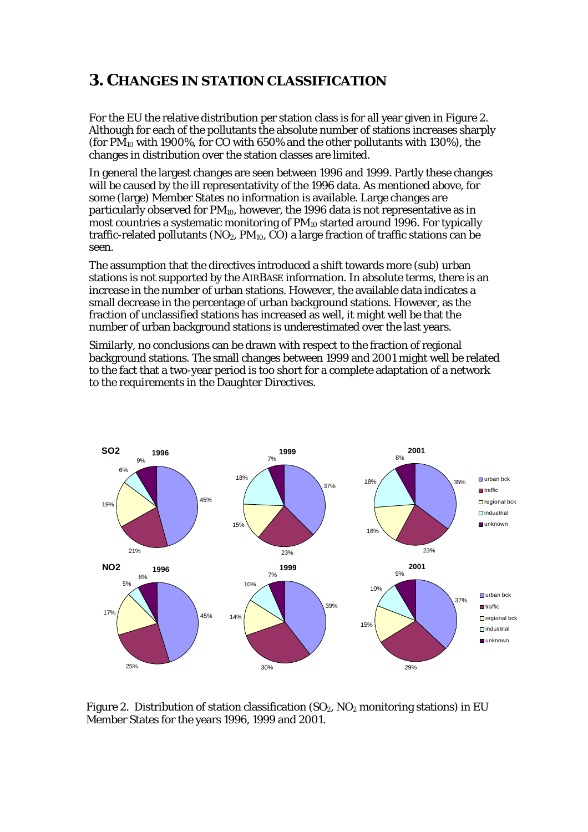### <span id="page-10-0"></span>**3. CHANGES IN STATION CLASSIFICATION**

For the EU the relative distribution per station class is for all year given in Figure 2. Although for each of the pollutants the absolute number of stations increases sharply (for  $PM_{10}$  with 1900%, for CO with 650% and the other pollutants with 130%), the changes in distribution over the station classes are limited.

In general the largest changes are seen between 1996 and 1999. Partly these changes will be caused by the ill representativity of the 1996 data. As mentioned above, for some (large) Member States no information is available. Large changes are particularly observed for PM10, however, the 1996 data is not representative as in most countries a systematic monitoring of  $PM_{10}$  started around 1996. For typically traffic-related pollutants ( $NO<sub>2</sub>$ ,  $PM<sub>10</sub>$ ,  $CO$ ) a large fraction of traffic stations can be seen.

The assumption that the directives introduced a shift towards more (sub) urban stations is not supported by the AIRBASE information. In absolute terms, there is an increase in the number of urban stations. However, the available data indicates a small decrease in the percentage of urban background stations. However, as the fraction of unclassified stations has increased as well, it might well be that the number of urban background stations is underestimated over the last years.

Similarly, no conclusions can be drawn with respect to the fraction of regional background stations. The small changes between 1999 and 2001 might well be related to the fact that a two-year period is too short for a complete adaptation of a network to the requirements in the Daughter Directives.



Figure 2. Distribution of station classification  $(SO_2, NO_2$  monitoring stations) in EU Member States for the years 1996, 1999 and 2001.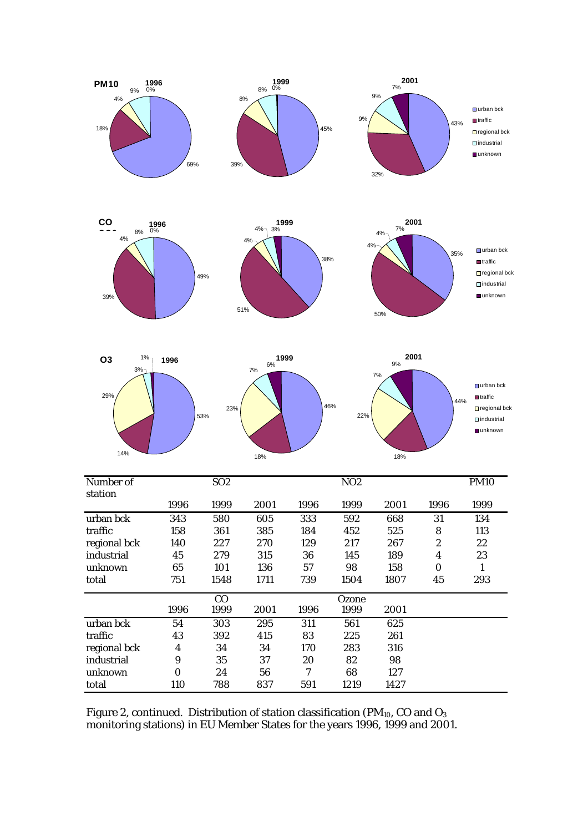









| Number of    |             | SO <sub>2</sub> |      |      | NO <sub>2</sub> |      |                         | <b>PM10</b> |
|--------------|-------------|-----------------|------|------|-----------------|------|-------------------------|-------------|
| station      |             |                 |      |      |                 |      |                         |             |
|              | 1996        | 1999            | 2001 | 1996 | 1999            | 2001 | 1996                    | 1999        |
| urban bck    | 343         | 580             | 605  | 333  | 592             | 668  | 31                      | 134         |
| traffic      | 158         | 361             | 385  | 184  | 452             | 525  | 8                       | 113         |
| regional bck | 140         | 227             | 270  | 129  | 217             | 267  | $\boldsymbol{2}$        | 22          |
| industrial   | 45          | 279             | 315  | 36   | 145             | 189  | $\overline{\mathbf{4}}$ | 23          |
| unknown      | 65          | 101             | 136  | 57   | 98              | 158  | $\boldsymbol{0}$        | 1           |
| total        | 751         | 1548            | 1711 | 739  | 1504            | 1807 | 45                      | 293         |
|              | CO<br>Ozone |                 |      |      |                 |      |                         |             |
|              | 1996        | 1999            | 2001 | 1996 | 1999            | 2001 |                         |             |
| urban bck    | 54          | 303             | 295  | 311  | 561             | 625  |                         |             |
| traffic      | 43          | 392             | 415  | 83   | 225             | 261  |                         |             |
| regional bck | 4           | 34              | 34   | 170  | 283             | 316  |                         |             |
| industrial   | 9           | 35              | 37   | 20   | 82              | 98   |                         |             |
| unknown      | $\Omega$    | 24              | 56   | 7    | 68              | 127  |                         |             |
| total        | 110         | 788             | 837  | 591  | 1219            | 1427 |                         |             |

Figure 2, continued. Distribution of station classification (PM<sub>10</sub>, CO and  $O_3$ monitoring stations) in EU Member States for the years 1996, 1999 and 2001.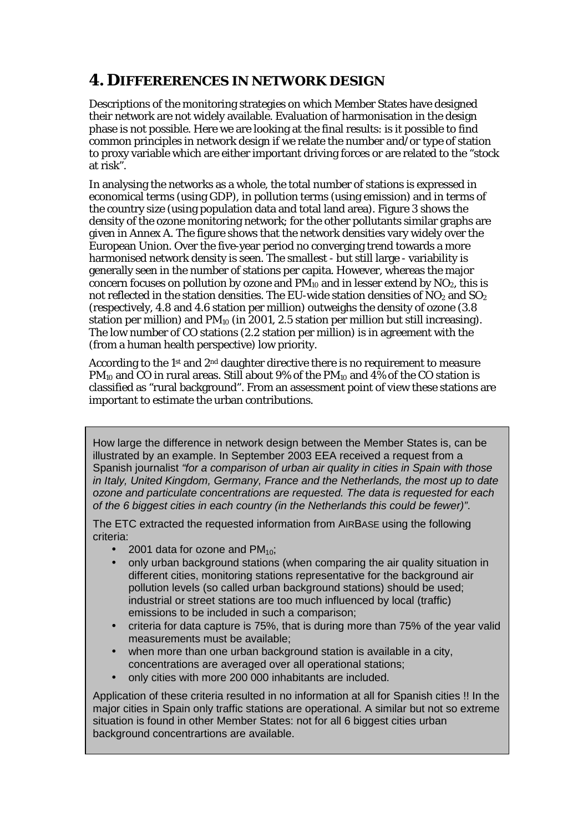## <span id="page-12-0"></span>**4. DIFFERERENCES IN NETWORK DESIGN**

Descriptions of the monitoring strategies on which Member States have designed their network are not widely available. Evaluation of harmonisation in the design phase is not possible. Here we are looking at the final results: is it possible to find common principles in network design if we relate the number and/or type of station to proxy variable which are either important driving forces or are related to the "stock at risk".

In analysing the networks as a whole, the total number of stations is expressed in economical terms (using GDP), in pollution terms (using emission) and in terms of the country size (using population data and total land area). Figure 3 shows the density of the ozone monitoring network; for the other pollutants similar graphs are given in Annex A. The figure shows that the network densities vary widely over the European Union. Over the five-year period no converging trend towards a more harmonised network density is seen. The smallest - but still large - variability is generally seen in the number of stations per capita. However, whereas the major concern focuses on pollution by ozone and  $PM_{10}$  and in lesser extend by  $NO<sub>2</sub>$ , this is not reflected in the station densities. The EU-wide station densities of  $NO<sub>2</sub>$  and  $SO<sub>2</sub>$ (respectively, 4.8 and 4.6 station per million) outweighs the density of ozone (3.8 station per million) and  $PM_{10}$  (in 2001, 2.5 station per million but still increasing). The low number of CO stations (2.2 station per million) is in agreement with the (from a human health perspective) low priority.

According to the 1st and 2nd daughter directive there is no requirement to measure PM<sub>10</sub> and CO in rural areas. Still about 9% of the PM<sub>10</sub> and 4% of the CO station is classified as "rural background". From an assessment point of view these stations are important to estimate the urban contributions.

How large the difference in network design between the Member States is, can be illustrated by an example. In September 2003 EEA received a request from a Spanish journalist *"for a comparison of urban air quality in cities in Spain with those in Italy, United Kingdom, Germany, France and the Netherlands, the most up to date ozone and particulate concentrations are requested. The data is requested for each of the 6 biggest cities in each country (in the Netherlands this could be fewer)"*.

The ETC extracted the requested information from AIRBASE using the following criteria:

- 2001 data for ozone and  $PM_{10}$ ;
- only urban background stations (when comparing the air quality situation in different cities, monitoring stations representative for the background air pollution levels (so called urban background stations) should be used; industrial or street stations are too much influenced by local (traffic) emissions to be included in such a comparison;
- criteria for data capture is 75%, that is during more than 75% of the year valid measurements must be available;
- when more than one urban background station is available in a city, concentrations are averaged over all operational stations;
- only cities with more 200 000 inhabitants are included.

Application of these criteria resulted in no information at all for Spanish cities !! In the major cities in Spain only traffic stations are operational. A similar but not so extreme situation is found in other Member States: not for all 6 biggest cities urban background concentrartions are available.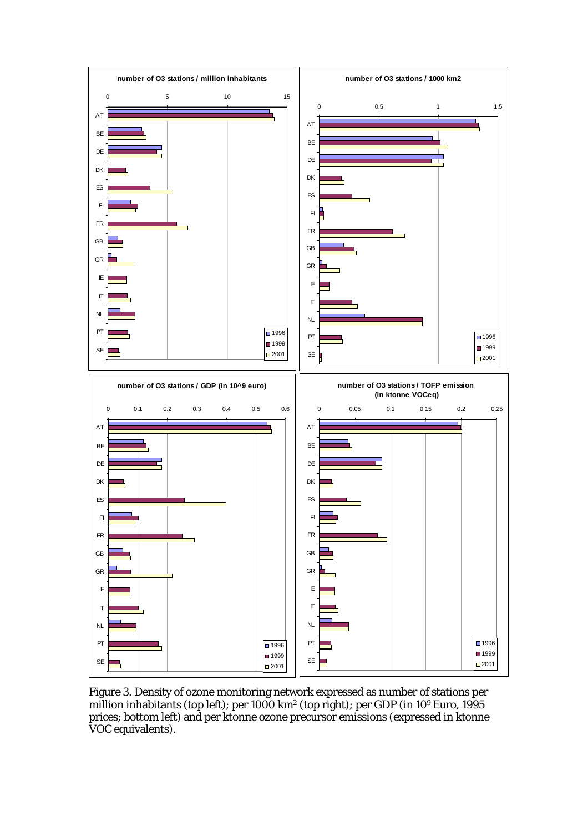

Figure 3. Density of ozone monitoring network expressed as number of stations per million inhabitants (top left); per 1000 km2 (top right); per GDP (in 109 Euro, 1995 prices; bottom left) and per ktonne ozone precursor emissions (expressed in ktonne VOC equivalents).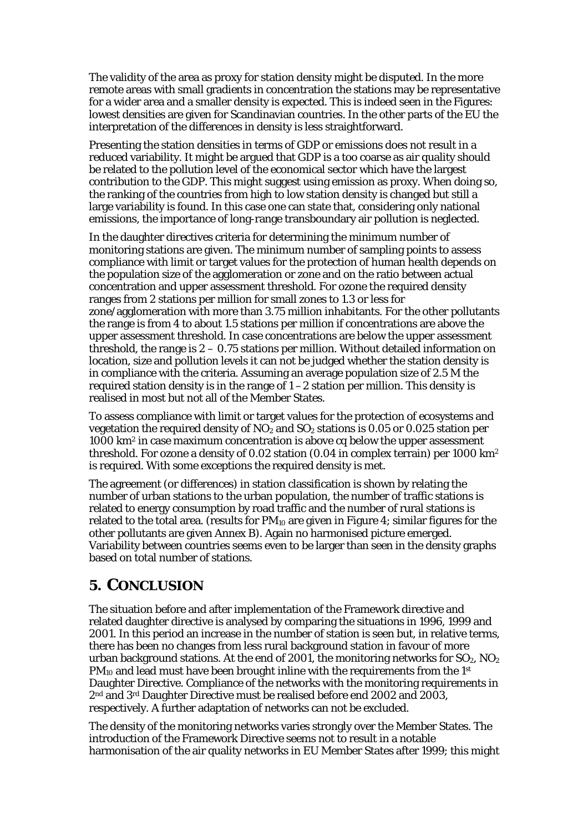<span id="page-14-0"></span>The validity of the area as proxy for station density might be disputed. In the more remote areas with small gradients in concentration the stations may be representative for a wider area and a smaller density is expected. This is indeed seen in the Figures: lowest densities are given for Scandinavian countries. In the other parts of the EU the interpretation of the differences in density is less straightforward.

Presenting the station densities in terms of GDP or emissions does not result in a reduced variability. It might be argued that GDP is a too coarse as air quality should be related to the pollution level of the economical sector which have the largest contribution to the GDP. This might suggest using emission as proxy. When doing so, the ranking of the countries from high to low station density is changed but still a large variability is found. In this case one can state that, considering only national emissions, the importance of long-range transboundary air pollution is neglected.

In the daughter directives criteria for determining the minimum number of monitoring stations are given. The minimum number of sampling points to assess compliance with limit or target values for the protection of human health depends on the population size of the agglomeration or zone and on the ratio between actual concentration and upper assessment threshold. For ozone the required density ranges from 2 stations per million for small zones to 1.3 or less for zone/agglomeration with more than 3.75 million inhabitants. For the other pollutants the range is from 4 to about 1.5 stations per million if concentrations are above the upper assessment threshold. In case concentrations are below the upper assessment threshold, the range is  $2 - 0.75$  stations per million. Without detailed information on location, size and pollution levels it can not be judged whether the station density is in compliance with the criteria. Assuming an average population size of 2.5 M the required station density is in the range of  $1 - 2$  station per million. This density is realised in most but not all of the Member States.

To assess compliance with limit or target values for the protection of ecosystems and vegetation the required density of  $NO<sub>2</sub>$  and  $SO<sub>2</sub>$  stations is 0.05 or 0.025 station per 1000 km2 in case maximum concentration is above cq below the upper assessment threshold. For ozone a density of 0.02 station (0.04 in complex terrain) per 1000 km2 is required. With some exceptions the required density is met.

The agreement (or differences) in station classification is shown by relating the number of urban stations to the urban population, the number of traffic stations is related to energy consumption by road traffic and the number of rural stations is related to the total area. (results for  $PM_{10}$  are given in Figure 4; similar figures for the other pollutants are given Annex B). Again no harmonised picture emerged. Variability between countries seems even to be larger than seen in the density graphs based on total number of stations.

### **5. CONCLUSION**

The situation before and after implementation of the Framework directive and related daughter directive is analysed by comparing the situations in 1996, 1999 and 2001. In this period an increase in the number of station is seen but, in relative terms, there has been no changes from less rural background station in favour of more urban background stations. At the end of 2001, the monitoring networks for  $SO_2$ ,  $NO_2$  $PM_{10}$  and lead must have been brought inline with the requirements from the 1st Daughter Directive. Compliance of the networks with the monitoring requirements in 2nd and 3rd Daughter Directive must be realised before end 2002 and 2003, respectively. A further adaptation of networks can not be excluded.

The density of the monitoring networks varies strongly over the Member States. The introduction of the Framework Directive seems not to result in a notable harmonisation of the air quality networks in EU Member States after 1999; this might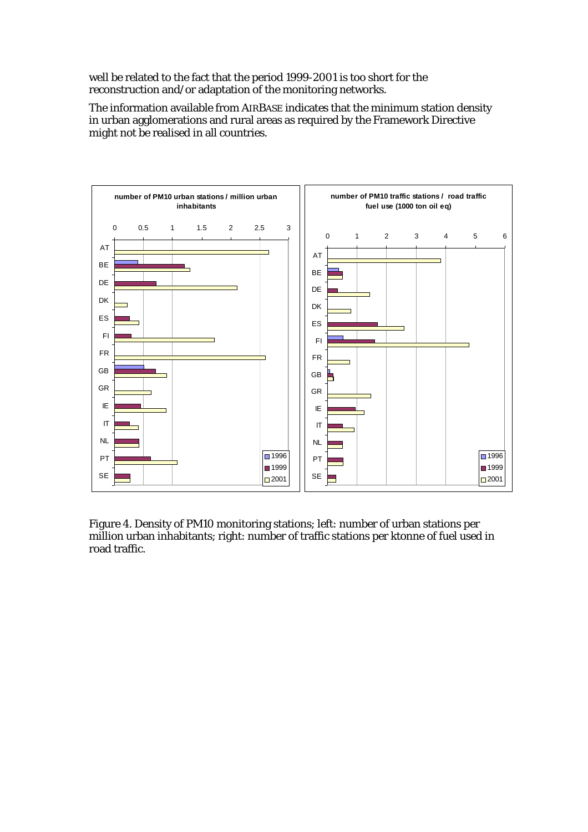well be related to the fact that the period 1999-2001 is too short for the reconstruction and/or adaptation of the monitoring networks.

The information available from AIRBASE indicates that the minimum station density in urban agglomerations and rural areas as required by the Framework Directive might not be realised in all countries.



Figure 4. Density of PM10 monitoring stations; left: number of urban stations per million urban inhabitants; right: number of traffic stations per ktonne of fuel used in road traffic.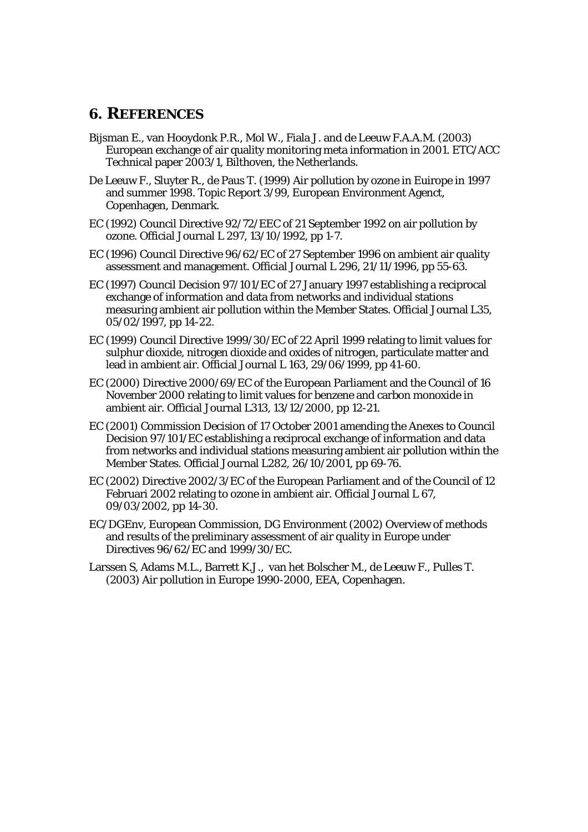#### <span id="page-16-0"></span>**6. REFERENCES**

- Bijsman E., van Hooydonk P.R., Mol W., Fiala J. and de Leeuw F.A.A.M. (2003) European exchange of air quality monitoring meta information in 2001. ETC/ACC Technical paper 2003/1, Bilthoven, the Netherlands.
- De Leeuw F., Sluyter R., de Paus T. (1999) Air pollution by ozone in Euirope in 1997 and summer 1998. Topic Report 3/99, European Environment Agenct, Copenhagen, Denmark.
- EC (1992) Council Directive 92/72/EEC of 21 September 1992 on air pollution by ozone. Official Journal L 297, 13/10/1992, pp 1-7.
- EC (1996) Council Directive 96/62/EC of 27 September 1996 on ambient air quality assessment and management. Official Journal L 296, 21/11/1996, pp 55-63.
- EC (1997) Council Decision 97/101/EC of 27 January 1997 establishing a reciprocal exchange of information and data from networks and individual stations measuring ambient air pollution within the Member States. Official Journal L35, 05/02/1997, pp 14-22.
- EC (1999) Council Directive 1999/30/EC of 22 April 1999 relating to limit values for sulphur dioxide, nitrogen dioxide and oxides of nitrogen, particulate matter and lead in ambient air. Official Journal L 163, 29/06/1999, pp 41-60.
- EC (2000) Directive 2000/69/EC of the European Parliament and the Council of 16 November 2000 relating to limit values for benzene and carbon monoxide in ambient air. Official Journal L313, 13/12/2000, pp 12-21.
- EC (2001) Commission Decision of 17 October 2001 amending the Anexes to Council Decision 97/101/EC establishing a reciprocal exchange of information and data from networks and individual stations measuring ambient air pollution within the Member States. Official Journal L282, 26/10/2001, pp 69-76.
- EC (2002) Directive 2002/3/EC of the European Parliament and of the Council of 12 Februari 2002 relating to ozone in ambient air. Official Journal L 67, 09/03/2002, pp 14-30.
- EC/DGEnv, European Commission, DG Environment (2002) Overview of methods and results of the preliminary assessment of air quality in Europe under Directives 96/62/EC and 1999/30/EC.
- Larssen S, Adams M.L., Barrett K.J., van het Bolscher M., de Leeuw F., Pulles T. (2003) Air pollution in Europe 1990-2000, EEA, Copenhagen.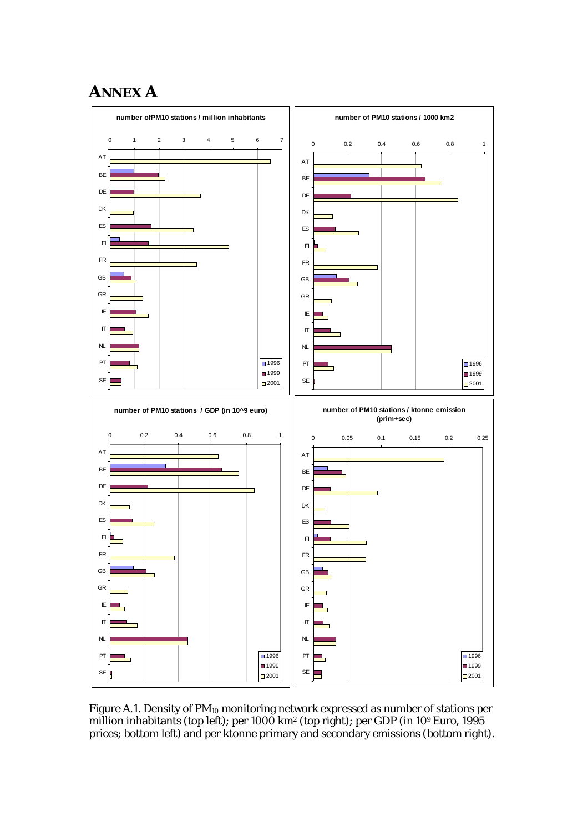## <span id="page-17-0"></span>**ANNEX A**



Figure A.1. Density of  $PM_{10}$  monitoring network expressed as number of stations per million inhabitants (top left); per 1000 km2 (top right); per GDP (in 109 Euro, 1995 prices; bottom left) and per ktonne primary and secondary emissions (bottom right).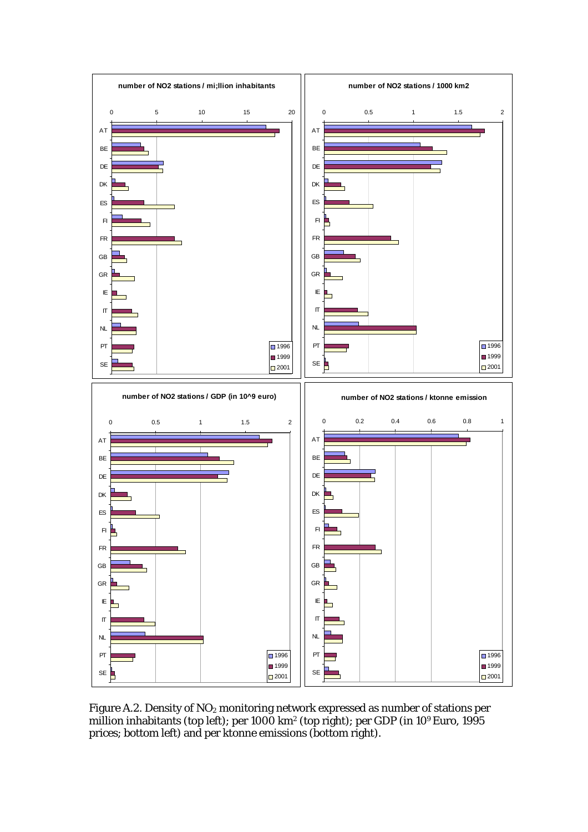

Figure A.2. Density of NO<sub>2</sub> monitoring network expressed as number of stations per million inhabitants (top left); per 1000 km2 (top right); per GDP (in 109 Euro, 1995 prices; bottom left) and per ktonne emissions (bottom right).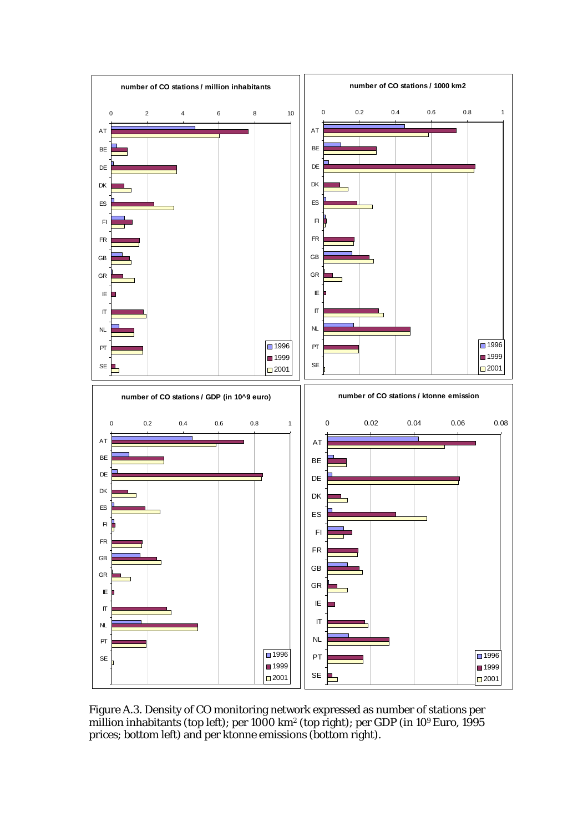

Figure A.3. Density of CO monitoring network expressed as number of stations per million inhabitants (top left); per 1000 km2 (top right); per GDP (in 109 Euro, 1995 prices; bottom left) and per ktonne emissions (bottom right).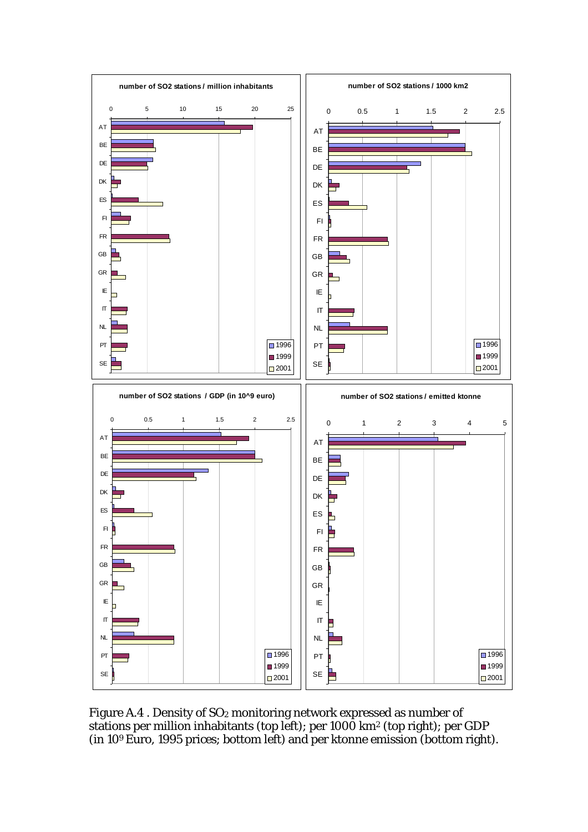

Figure A.4. Density of SO<sub>2</sub> monitoring network expressed as number of stations per million inhabitants (top left); per 1000 km2 (top right); per GDP (in 109 Euro, 1995 prices; bottom left) and per ktonne emission (bottom right).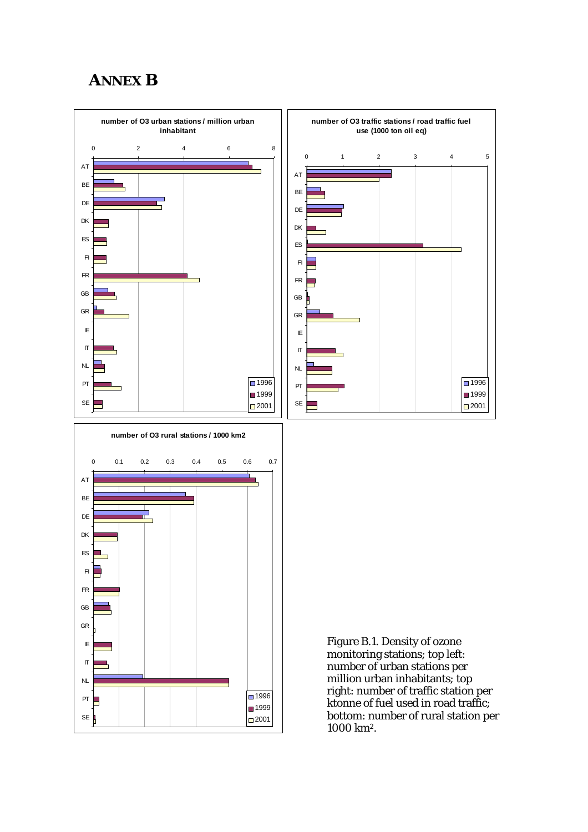## <span id="page-21-0"></span>**ANNEX B**



1000 km2.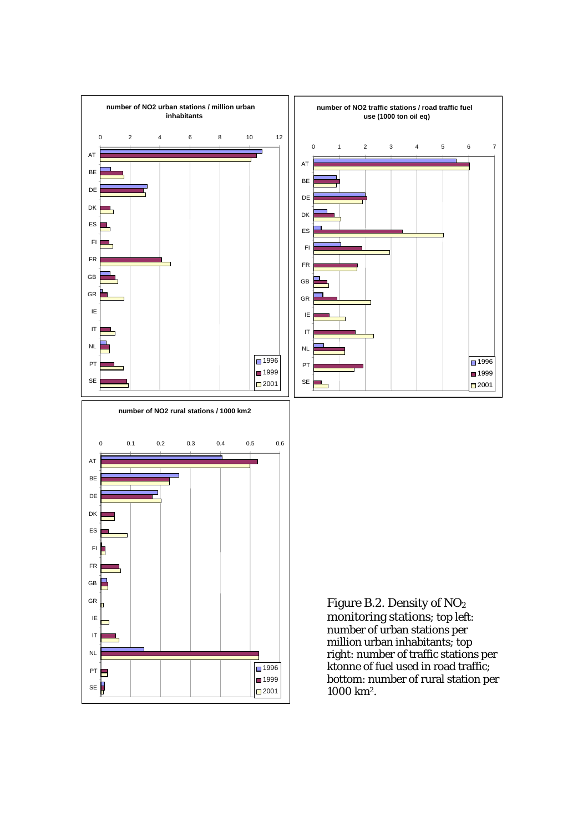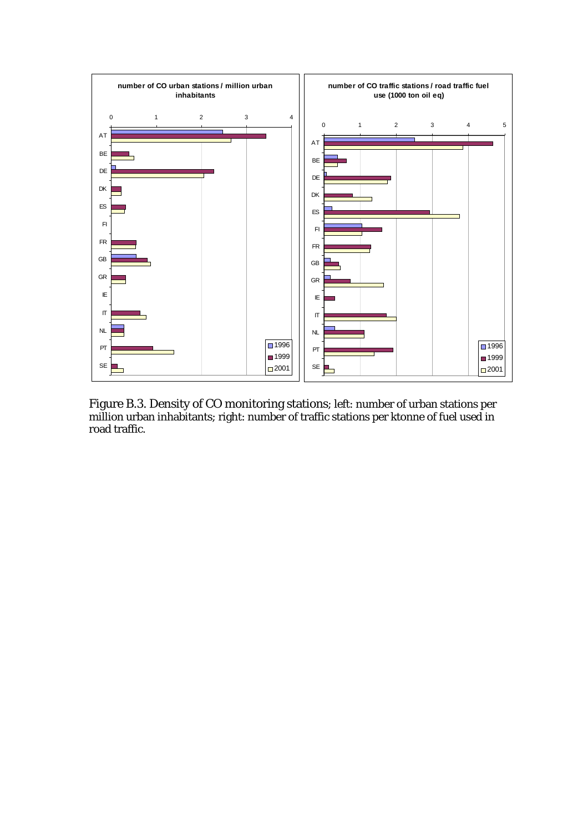

Figure B.3. Density of CO monitoring stations; left: number of urban stations per million urban inhabitants; right: number of traffic stations per ktonne of fuel used in road traffic.